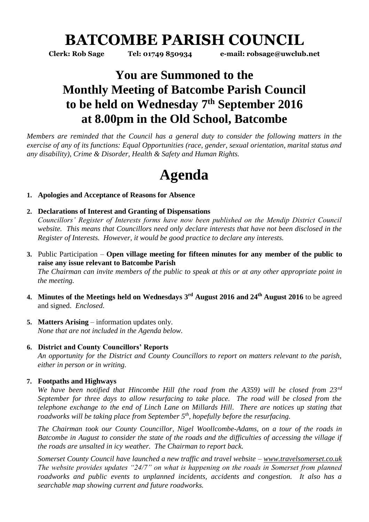## **BATCOMBE PARISH COUNCIL**

**Clerk: Rob Sage Tel: 01749 850934 e-mail: robsage@uwclub.net**

### **You are Summoned to the Monthly Meeting of Batcombe Parish Council to be held on Wednesday 7 th September 2016 at 8.00pm in the Old School, Batcombe**

*Members are reminded that the Council has a general duty to consider the following matters in the exercise of any of its functions: Equal Opportunities (race, gender, sexual orientation, marital status and any disability), Crime & Disorder, Health & Safety and Human Rights.*

# **Agenda**

#### **1. Apologies and Acceptance of Reasons for Absence**

#### **2. Declarations of Interest and Granting of Dispensations**

*Councillors' Register of Interests forms have now been published on the Mendip District Council website. This means that Councillors need only declare interests that have not been disclosed in the Register of Interests. However, it would be good practice to declare any interests.*

- **3.** Public Participation **Open village meeting for fifteen minutes for any member of the public to raise any issue relevant to Batcombe Parish** *The Chairman can invite members of the public to speak at this or at any other appropriate point in the meeting.*
- **4. Minutes of the Meetings held on Wednesdays 3 rd August 2016 and 24th August 2016** to be agreed and signed. *Enclosed.*
- **5. Matters Arising** information updates only. *None that are not included in the Agenda below.*

#### **6. District and County Councillors' Reports**

*An opportunity for the District and County Councillors to report on matters relevant to the parish, either in person or in writing.* 

#### **7. Footpaths and Highways**

*We have been notified that Hincombe Hill (the road from the A359) will be closed from 23rd September for three days to allow resurfacing to take place. The road will be closed from the telephone exchange to the end of Linch Lane on Millards Hill. There are notices up stating that roadworks will be taking place from September 5th, hopefully before the resurfacing.*

*The Chairman took our County Councillor, Nigel Woollcombe-Adams, on a tour of the roads in Batcombe in August to consider the state of the roads and the difficulties of accessing the village if the roads are unsalted in icy weather. The Chairman to report back.* 

*Somerset County Council have launched a new traffic and travel website – [www.travelsomerset.co.uk](http://www.travelsomerset.co.uk/) The website provides updates "24/7" on what is happening on the roads in Somerset from planned roadworks and public events to unplanned incidents, accidents and congestion. It also has a searchable map showing current and future roadworks.*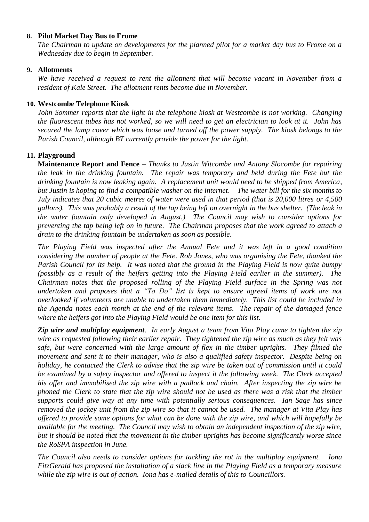#### **8. Pilot Market Day Bus to Frome**

*The Chairman to update on developments for the planned pilot for a market day bus to Frome on a Wednesday due to begin in September.* 

#### **9. Allotments**

*We have received a request to rent the allotment that will become vacant in November from a resident of Kale Street. The allotment rents become due in November.*

#### **10. Westcombe Telephone Kiosk**

*John Sommer reports that the light in the telephone kiosk at Westcombe is not working. Changing the fluorescent tubes has not worked, so we will need to get an electrician to look at it. John has secured the lamp cover which was loose and turned off the power supply. The kiosk belongs to the Parish Council, although BT currently provide the power for the light.*

#### **11. Playground**

**Maintenance Report and Fence –** *Thanks to Justin Witcombe and Antony Slocombe for repairing the leak in the drinking fountain. The repair was temporary and held during the Fete but the drinking fountain is now leaking again. A replacement unit would need to be shipped from America, but Justin is hoping to find a compatible washer on the internet. The water bill for the six months to July indicates that 20 cubic metres of water were used in that period (that is 20,000 litres or 4,500 gallons). This was probably a result of the tap being left on overnight in the bus shelter. (The leak in the water fountain only developed in August.) The Council may wish to consider options for preventing the tap being left on in future. The Chairman proposes that the work agreed to attach a drain to the drinking fountain be undertaken as soon as possible.* 

*The Playing Field was inspected after the Annual Fete and it was left in a good condition considering the number of people at the Fete. Rob Jones, who was organising the Fete, thanked the Parish Council for its help. It was noted that the ground in the Playing Field is now quite bumpy (possibly as a result of the heifers getting into the Playing Field earlier in the summer). The Chairman notes that the proposed rolling of the Playing Field surface in the Spring was not undertaken and proposes that a "To Do" list is kept to ensure agreed items of work are not overlooked if volunteers are unable to undertaken them immediately. This list could be included in the Agenda notes each month at the end of the relevant items. The repair of the damaged fence where the heifers got into the Playing Field would be one item for this list.*

*Zip wire and multiplay equipment. In early August a team from Vita Play came to tighten the zip wire as requested following their earlier repair. They tightened the zip wire as much as they felt was safe, but were concerned with the large amount of flex in the timber uprights. They filmed the movement and sent it to their manager, who is also a qualified safety inspector. Despite being on holiday, he contacted the Clerk to advise that the zip wire be taken out of commission until it could be examined by a safety inspector and offered to inspect it the following week. The Clerk accepted his offer and immobilised the zip wire with a padlock and chain. After inspecting the zip wire he phoned the Clerk to state that the zip wire should not be used as there was a risk that the timber supports could give way at any time with potentially serious consequences. Ian Sage has since removed the jockey unit from the zip wire so that it cannot be used. The manager at Vita Play has offered to provide some options for what can be done with the zip wire, and which will hopefully be available for the meeting. The Council may wish to obtain an independent inspection of the zip wire, but it should be noted that the movement in the timber uprights has become significantly worse since the RoSPA inspection in June.* 

*The Council also needs to consider options for tackling the rot in the multiplay equipment. Iona FitzGerald has proposed the installation of a slack line in the Playing Field as a temporary measure while the zip wire is out of action. Iona has e-mailed details of this to Councillors.*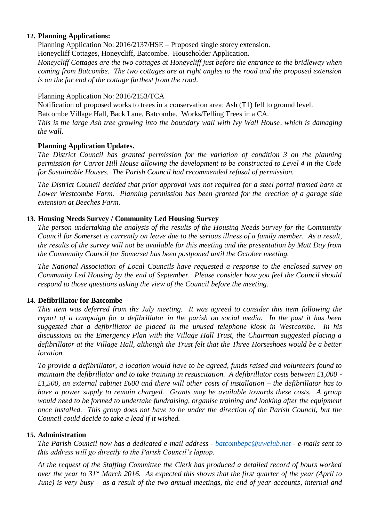#### **12. Planning Applications:**

Planning Application No: 2016/2137/HSE – Proposed single storey extension.

Honeycliff Cottages, Honeycliff, Batcombe. Householder Application.

*Honeycliff Cottages are the two cottages at Honeycliff just before the entrance to the bridleway when coming from Batcombe. The two cottages are at right angles to the road and the proposed extension is on the far end of the cottage furthest from the road.* 

#### Planning Application No: 2016/2153/TCA

Notification of proposed works to trees in a conservation area: Ash (T1) fell to ground level. Batcombe Village Hall, Back Lane, Batcombe. Works/Felling Trees in a CA.

*This is the large Ash tree growing into the boundary wall with Ivy Wall House, which is damaging the wall.*

#### **Planning Application Updates.**

*The District Council has granted permission for the variation of condition 3 on the planning permission for Carrot Hill House allowing the development to be constructed to Level 4 in the Code for Sustainable Houses. The Parish Council had recommended refusal of permission.*

*The District Council decided that prior approval was not required for a steel portal framed barn at Lower Westcombe Farm. Planning permission has been granted for the erection of a garage side extension at Beeches Farm.* 

#### **13. Housing Needs Survey / Community Led Housing Survey**

*The person undertaking the analysis of the results of the Housing Needs Survey for the Community Council for Somerset is currently on leave due to the serious illness of a family member. As a result, the results of the survey will not be available for this meeting and the presentation by Matt Day from the Community Council for Somerset has been postponed until the October meeting.* 

*The National Association of Local Councils have requested a response to the enclosed survey on Community Led Housing by the end of September. Please consider how you feel the Council should respond to those questions asking the view of the Council before the meeting.*

#### **14. Defibrillator for Batcombe**

*This item was deferred from the July meeting. It was agreed to consider this item following the report of a campaign for a defibrillator in the parish on social media. In the past it has been suggested that a defibrillator be placed in the unused telephone kiosk in Westcombe. In his discussions on the Emergency Plan with the Village Hall Trust, the Chairman suggested placing a defibrillator at the Village Hall, although the Trust felt that the Three Horseshoes would be a better location.* 

*To provide a defibrillator, a location would have to be agreed, funds raised and volunteers found to maintain the defibrillator and to take training in resuscitation. A defibrillator costs between £1,000 - £1,500, an external cabinet £600 and there will other costs of installation – the defibrillator has to have a power supply to remain charged. Grants may be available towards these costs. A group would need to be formed to undertake fundraising, organise training and looking after the equipment once installed. This group does not have to be under the direction of the Parish Council, but the Council could decide to take a lead if it wished.* 

#### **15. Administration**

*The Parish Council now has a dedicated e-mail address - [batcombepc@uwclub.net](mailto:batcombepc@uwclub.net) - e-mails sent to this address will go directly to the Parish Council's laptop.* 

*At the request of the Staffing Committee the Clerk has produced a detailed record of hours worked over the year to 31st March 2016. As expected this shows that the first quarter of the year (April to June) is very busy – as a result of the two annual meetings, the end of year accounts, internal and*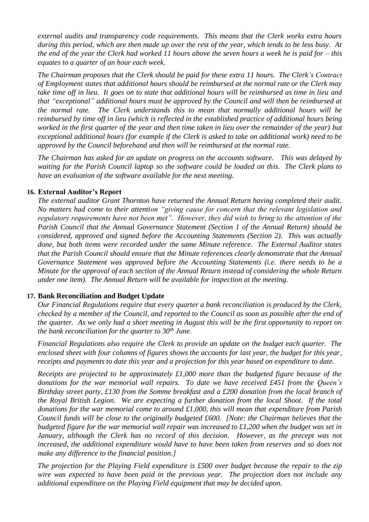*external audits and transparency code requirements. This means that the Clerk works extra hours during this period, which are then made up over the rest of the year, which tends to be less busy. At the end of the year the Clerk had worked 11 hours above the seven hours a week he is paid for – this equates to a quarter of an hour each week.* 

*The Chairman proposes that the Clerk should be paid for these extra 11 hours. The Clerk's Contract of Employment states that additional hours should be reimbursed at the normal rate or the Clerk may take time off in lieu. It goes on to state that additional hours will be reimbursed as time in lieu and that "exceptional" additional hours must be approved by the Council and will then be reimbursed at the normal rate. The Clerk understands this to mean that normally additional hours will be reimbursed by time off in lieu (which is reflected in the established practice of additional hours being worked in the first quarter of the year and then time taken in lieu over the remainder of the year) but exceptional additional hours (for example if the Clerk is asked to take on additional work) need to be approved by the Council beforehand and then will be reimbursed at the normal rate.* 

*The Chairman has asked for an update on progress on the accounts software. This was delayed by waiting for the Parish Council laptop so the software could be loaded on this. The Clerk plans to have an evaluation of the software available for the next meeting.* 

#### **16. External Auditor's Report**

*The external auditor Grant Thornton have returned the Annual Return having completed their audit. No matters had come to their attention "giving cause for concern that the relevant legislation and regulatory requirements have not been met". However, they did wish to bring to the attention of the Parish Council that the Annual Governance Statement (Section 1 of the Annual Return) should be considered, approved and signed before the Accounting Statements (Section 2). This was actually done, but both items were recorded under the same Minute reference. The External Auditor states that the Parish Council should ensure that the Minute references clearly demonstrate that the Annual Governance Statement was approved before the Accounting Statements (i.e. there needs to be a Minute for the approval of each section of the Annual Return instead of considering the whole Return under one item). The Annual Return will be available for inspection at the meeting.* 

#### **17. Bank Reconciliation and Budget Update**

*Our Financial Regulations require that every quarter a bank reconciliation is produced by the Clerk, checked by a member of the Council, and reported to the Council as soon as possible after the end of the quarter. As we only had a short meeting in August this will be the first opportunity to report on the bank reconciliation for the quarter to 30th June.* 

*Financial Regulations also require the Clerk to provide an update on the budget each quarter. The enclosed sheet with four columns of figures shows the accounts for last year, the budget for this year, receipts and payments to date this year and a projection for this year based on expenditure to date.* 

*Receipts are projected to be approximately £1,000 more than the budgeted figure because of the donations for the war memorial wall repairs. To date we have received £451 from the Queen's Birthday street party, £130 from the Somme breakfast and a £200 donation from the local branch of the Royal British Legion. We are expecting a further donation from the local Shoot. If the total donations for the war memorial come to around £1,000, this will mean that expenditure from Parish Council funds will be close to the originally budgeted £600. [Note: the Chairman believes that the budgeted figure for the war memorial wall repair was increased to £1,200 when the budget was set in*  January, although the Clerk has no record of this decision. However, as the precept was not *increased, the additional expenditure would have to have been taken from reserves and so does not make any difference to the financial position.]* 

*The projection for the Playing Field expenditure is £500 over budget because the repair to the zip wire was expected to have been paid in the previous year. The projection does not include any additional expenditure on the Playing Field equipment that may be decided upon.*